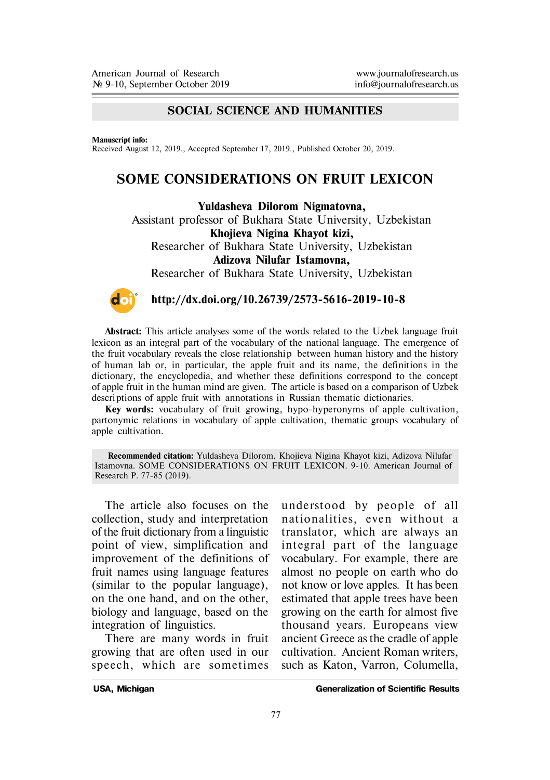## **SOCIAL SCIENCE AND HUMANITIES**

**Manuscript info:**

Received August 12, 2019. Accepted September 17, 2019. Published October 20, 2019.

## **SOME CONSIDERATIONS ON FRUIT LEXICON**

**Yuldasheva Dilorom Nigmatovna,**

Assistant professor of Bukhara State University, Uzbekistan **Khojieva Nigina Khayot kizi,** Researcher of Bukhara State University, Uzbekistan **Adizova Nilufar Istamovna,**

Researcher of Bukhara State University, Uzbekistan



 **http://dx.doi.org/10.26739/2573-5616-2019-10-8**

**Abstract:** This article analyses some of the words related to the Uzbek language fruit lexicon as an integral part of the vocabulary of the national language. The emergence of the fruit vocabulary reveals the close relationship between human history and the history of human lab or, in particular, the apple fruit and its name, the definitions in the dictionary, the encyclopedia, and whether these definitions correspond to the concept of apple fruit in the human mind are given. The article is based on a comparison of Uzbek descri ptions of apple fruit with annotations in Russian thematic dictionaries.

**Key words:** vocabulary of fruit growing, hypo-hyperonyms of apple cultivation, partonymic relations in vocabulary of apple cultivation, thematic groups vocabulary of apple cultivation.

**Recommended citation:** Yuldasheva Dilorom, Khojieva Nigina Khayot kizi, Adizova Nilufar Istamovna. SOME CONSIDERATIONS ON FRUIT LEXICON. 9-10. American Journal of Research P. 77-85 (2019).

The article also focuses on the collection, study and interpretation of the fruit dictionary from a linguistic point of view, simplification and improvement of the definitions of fruit names using language features (similar to the popular language), on the one hand, and on the other, biology and language, based on the integration of linguistics.

There are many words in fruit growing that are often used in our speech, which are sometimes

understood by people of all nationalities, even without a translator, which are always an integral part of the language vocabulary. For example, there are almost no people on earth who do not know or love apples. It has been estimated that apple trees have been growing on the earth for almost five thousand years. Europeans view ancient Greece as the cradle of apple cultivation. Ancient Roman writers, such as Katon, Varron, Columella,

**USA, Michigan Generalization of Scientific Results**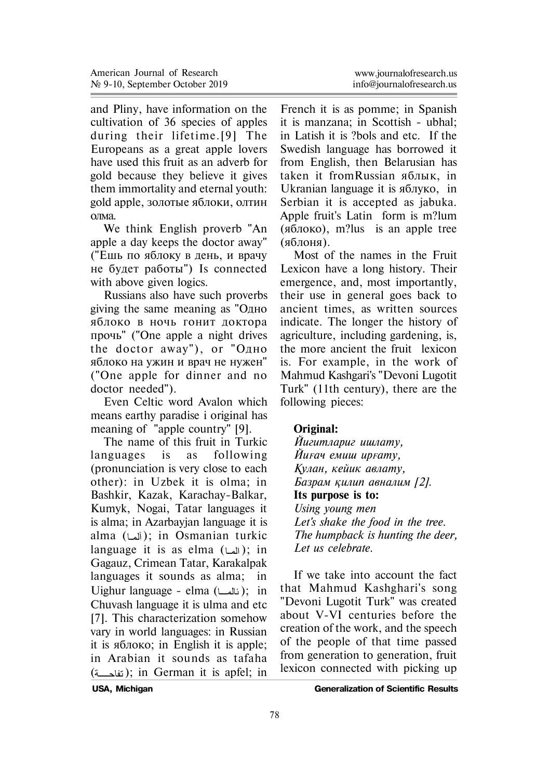and Pliny, have information on the cultivation of 36 species of apples during their lifetime.<sup>[9]</sup> The Europeans as a great apple lovers have used this fruit as an adverb for gold because they believe it gives them immortality and eternal youth: gold apple, золотые яблоки, олтин oma.

We think English proverb "An apple a day keeps the doctor away" ("Ешь по яблоку в день, и врачу не будет работы") Is connected with above given logics.

Russians also have such proverbs giving the same meaning as " $O$ *<sub>THO</sub>* яблоко в ночь гонит доктора прочь" ("One apple a night drives the doctor away"), or " $O$ *AHO* яблоко на ужин и врач не нужен" ("One apple for dinner and no doctor needed").

Even Celtic word Avalon which means earthy paradise i original has meaning of "apple country" [9].

The name of this fruit in Turkic languages is as following (pronunciation is very close to each other): in Uzbek it is olma; in Bashkir, Kazak, Karachay-Balkar, Kumyk, Nogai, Tatar languages it is alma; in Azarbayian language it is alma (الما); in Osmanian turkic language it is as elma (الم); in Gagauz, Crimean Tatar, Karakalpak languages it sounds as alma; in Uighur language - elma (المملد); in Chuvash language it is ulmà and etc [7]. This characterization somehow vary in world languages: in Russian it is яблоко; in English it is apple; in Arabian it sounds as tàfaha (تفاحـــة); in German it is apfel; in

French it is as pomme; in Spanish it is manzana; in Scottish - ubhal; in Latish it is ?bols and etc. If the Swedish language has borrowed it from English, then Belarusian has taken it fromRussian яблык, in Ukranian language it is  $\pi$ <sub>U</sub>Kranian language it is  $\pi$ <sub>UKranian</sub> Serbian it is accepted as jabuka. Apple fruit's Latin form is m?lum  $(50, 60)$ , m?lus is an apple tree  $($ яблоня $).$ 

Most of the names in the Fruit Lexicon have a long history. Their emergence, and, most importantly, their use in general goes back to ancient times, as written sources indicate. The longer the history of agriculture, including gardening, is, the more ancient the fruit lexicon is. For example, in the work of Mahmud Kashgari's "Devoni Lugotit Turk" (11th century), there are the following pieces:

## **Original:**

Йигитлариг ишлату,  $\tilde{M}$ *u<sub>Fa<sup>u</sup></sub>* emulu upramy, *£óëàí, êåéèê àâëàòó, Базрам қилип авналим [2].* **Its purpose is to:** *Using young men Let's shake the food in the tree. The humpback is hunting the deer, Let us celebrate.*

If we take into account the fact that Mahmud Kashghari's song "Devoni Lugotit Turk" was created about V-VI centuries before the creation of the work, and the speech of the people of that time passed from generation to generation, fruit lexicon connected with picking up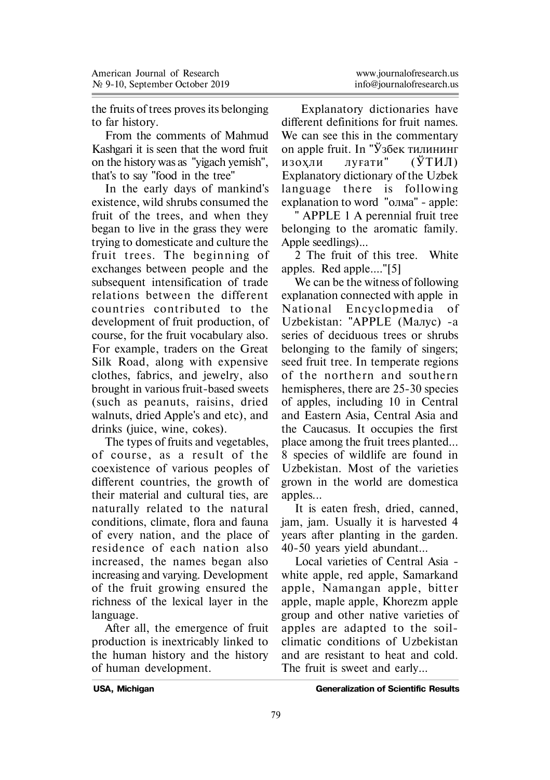the fruits of trees proves its belonging to far history.

From the comments of Mahmud Kashgari it is seen that the word fruit on the history was as "yigach yemish", that's to say "food in the tree"

In the early days of mankind's existence, wild shrubs consumed the fruit of the trees, and when they began to live in the grass they were trying to domesticate and culture the fruit trees. The beginning of exchanges between people and the subsequent intensification of trade relations between the different countries contributed to the development of fruit production, of course, for the fruit vocabulary also. For example, traders on the Great Silk Road, along with expensive clothes, fabrics, and jewelry, also brought in various fruit-based sweets (such as peanuts, raisins, dried walnuts, dried Apple's and etc), and drinks (juice, wine, cokes).

The types of fruits and vegetables, of course, as a result of the coexistence of various peoples of different countries, the growth of their material and cultural ties, are naturally related to the natural conditions, climate, flora and fauna of every nation, and the place of residence of each nation also increased, the names began also increasing and varying. Development of the fruit growing ensured the richness of the lexical layer in the language.

After all, the emergence of fruit production is inextricably linked to the human history and the history of human development.

 Explanatory dictionaries have different definitions for fruit names. We can see this in the commentary on apple fruit. In "Ўзбек тилининг изохли луғати" (ЎТИЛ) Explanatory dictionary of the Uzbek language there is following explanation to word "OJIMA" - apple:

" APPLE 1 A perennial fruit tree belonging to the aromatic family. Apple seedlings)...

2 The fruit of this tree. White apples. Red apple...."[5]

We can be the witness of following explanation connected with apple in National Encyclopmedia of Uzbekistan: "APPLE (Малус) -a series of deciduous trees or shrubs belonging to the family of singers; seed fruit tree. In temperate regions of the northern and southern hemispheres, there are 25-30 species of apples, including 10 in Central and Eastern Asia, Central Asia and the Caucasus. It occupies the first place among the fruit trees planted... 8 species of wildlife are found in Uzbekistan. Most of the varieties grown in the world are domestica apples...

It is eaten fresh, dried, canned, jam, jam. Usually it is harvested 4 years after planting in the garden. 40-50 years yield abundant...

Local varieties of Central Asia white apple, red apple, Samarkand apple, Namangan apple, bitter apple, maple apple, Khorezm apple group and other native varieties of apples are adapted to the soilclimatic conditions of Uzbekistan and are resistant to heat and cold. The fruit is sweet and early...

**USA, Michigan Generalization of Scientific Results**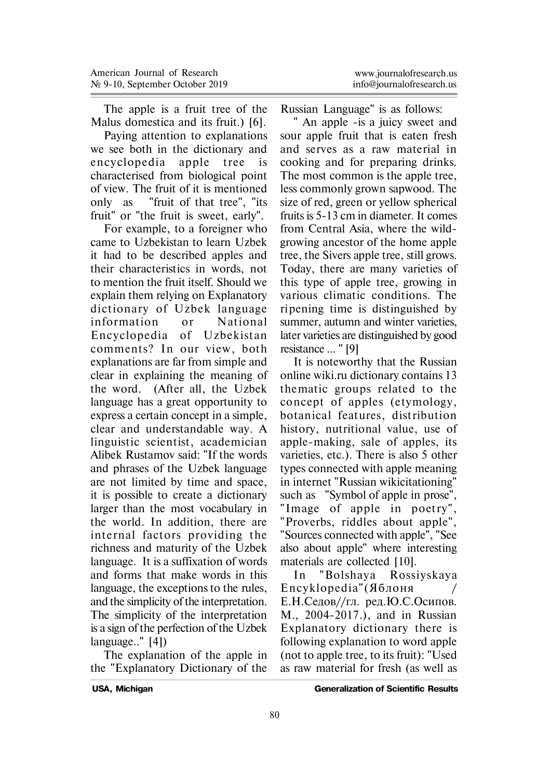The apple is a fruit tree of the Malus domestica and its fruit.) [6].

Paying attention to explanations we see both in the dictionary and encyclopedia apple tree is characterised from biological point of view. The fruit of it is mentioned only as "fruit of that tree", "its fruit" or "the fruit is sweet, early".

For example, to a foreigner who came to Uzbekistan to learn Uzbek it had to be described apples and their characteristics in words, not to mention the fruit itself. Should we explain them relying on Explanatory dictionary of Uzbek language in formation or National Encyclopedia of Uzbekistan comments? In our view, both explanations are far from simple and clear in explaining the meaning of the word. (After all, the Uzbek language has a great opportunity to express a certain concept in a simple, clear and understandable way. A linguistic scientist, academician Alibek Rustamov said: "If the words and phrases of the Uzbek language are not limited by time and space, it is possible to create a dictionary larger than the most vocabulary in the world. In addition, there are in ternal factors p roviding the richness and maturity of the Uzbek language. It is a suffixation of words and forms that make words in this language, the exceptions to the rules, and the simplicity of the interpretation. The simplicity of the interpretation is a sign of the perfection of the Uzbek language.." [4])

The explanation of the apple in the "Explanatory Dictionary of the Russian Language" is as follows:

" An apple -is a juicy sweet and sour apple fruit that is eaten fresh and serves as a raw material in cooking and for preparing drinks. The most common is the apple tree. less commonly grown sapwood. The size of red, green or yellow spherical fruits is 5-13 cm in diameter. It comes from Central Asia, where the wildgrowing ancestor of the home apple tree, the Sivers apple tree, still grows. Today, there are many varieties of this type of apple tree, growing in various climatic conditions. The ripening time is distinguished by summer, autumn and winter varieties, later varieties are distinguished by good resistance ... " [9]

It is noteworthy that the Russian online wiki.ru dictionary contains 13 thematic groups related to the concept of apples (etymology, bo tanical features, dist ribution history, nutritional value, use of apple-making, sale of apples, its varieties, etc.). There is also 5 other types connected with apple meaning in internet "Russian wikicitationing" such as "Symbol of apple in prose", "Image of apple in poetry" "Proverbs, riddles about apple", "Sources connected with apple", "See also about apple" where interesting materials are collected [10].

In "Bolshaya Rossiyskaya Encyklopedia" (Яблоня Е.Н.Седов//гл. ред.Ю.С.Осипов. M., 2004-2017.), and in Russian Explanatory dictionary there is following explanation to word apple (not to apple tree, to its fruit): "Used as raw material for fresh (as well as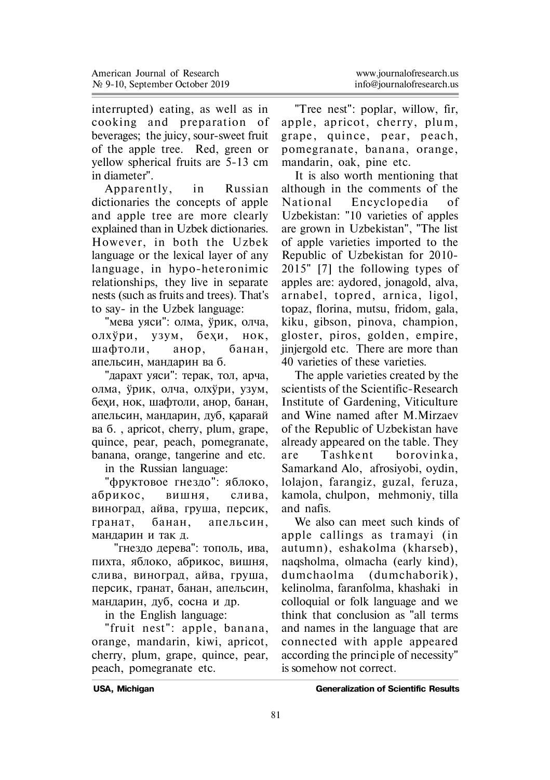interrupted) eating, as well as in cooking and preparation of beverages; the juicy, sour-sweet fruit of the apple tree. Red, green or yellow spherical fruits are 5-13 cm in diameter".

Apparently, in Russian dictionaries the concepts of apple and apple tree are more clearly explained than in Uzbek dictionaries. However, in both the Uzbek language or the lexical layer of any language, in hypo-heteronimic relationships, they live in separate nests (such as fruits and trees). That's to say- in the Uzbek language:

"мева уяси": олма, ўрик, олча, олхўри, узум, бехи, нок, шафтоли, анор, банан, апельсин. мандарин ва б.

"дарахт уяси": терак, тол, арча, олма, ўрик, олча, олхўри, узум, бехи, нок, шафтоли, анор, банан, апельсин, манларин, луб, карағай âà á. , apricot, cherry, plum, grape, quince, pear, peach, pomegranate, banana, orange, tangerine and etc.

in the Russian language:

"фруктовое гнездо": яблоко, абрикос, вишня, слива, виноград, айва, груша, персик, гранат. банан. апельсин. мандарин и так д.

"гнездо дерева": тополь, ива, пихта, яблоко, абрикос, вишня, слива, виноград, айва, груша, персик, гранат, банан, апельсин, мандарин, дуб, сосна и др.

in the English language:

" fruit nest": apple, banana, orange, mandarin, kiwi, apricot, cherry, plum, grape, quince, pear, peach, pomegranate etc.

"Tree nest": poplar, willow, fir, apple, apricot, cherry, plum, grape, quince, pear, peach, pomegranate, banana, orange, mandarin, oak, pine etc.

It is also worth mentioning that although in the comments of the National Encyclopedia of Uzbekistan: "10 varieties of apples are grown in Uzbekistan", "The list of apple varieties imported to the Republic of Uzbekistan for 2010- 2015" [7] the following types of apples are: aydored, jonagold, alva, arnabel, topred, arnica, ligol. topaz, florina, mutsu, fridom, gala, kiku, gibson, pinova, champion, gloster, piros, golden, empire, iinjergold etc. There are more than 40 varieties of these varieties.

The apple varieties created by the scientists of the Scientific-Research Institute of Gardening, Viticulture and Wine named after M.Mirzaev of the Republic of Uzbekistan have already appeared on the table. They are Tashkent borovinka. Samarkand Alo, afrosiyobi, oydin, lolajon, farangiz, guzal, feruza, kamola, chulpon, mehmoniy, tilla and nafis.

We also can meet such kinds of apple callings as tramavi (in autumn), eshakolma (kharseb), naqsholma, olmacha (early kind), dumchaolma (dumchaborik) , kelinolma, faranfolma, khashaki in colloquial or folk language and we think that conclusion as "all terms and names in the language that are connected with apple appeared according the principle of necessity" is somehow not correct.

**USA, Michigan Generalization of Scientific Results**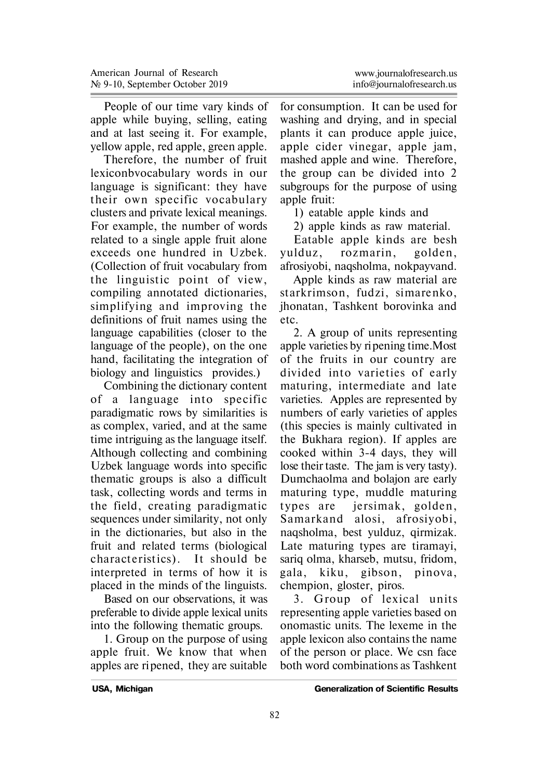Therefore, the number of fruit lexiconbvocabulary words in our language is significant: they have their own specific vocabulary clusters and private lexical meanings. For example, the number of words related to a single apple fruit alone exceeds one hundred in Uzbek. (Collection of fruit vocabulary from the linguistic point of view. compiling annotated dictionaries, simplifying and improving the definitions of fruit names using the language capabilities (closer to the language of the people), on the one hand, facilitating the integration of biology and linguistics provides.)

Combining the dictionary content of a language into specific paradigmatic rows by similarities is as complex, varied, and at the same time intriguing as the language itself. Although collecting and combining Uzbek language words into specific thematic groups is also a difficult task, collecting words and terms in the field, creating paradigmatic sequences under similarity, not only in the dictionaries, but also in the fruit and related terms (biological characteristics). It should be interpreted in terms of how it is placed in the minds of the linguists.

Based on our observations, it was preferable to divide apple lexical units into the following thematic groups.

1. Group on the purpose of using apple fruit. We know that when apples are ripened, they are suitable

for consumption. It can be used for washing and drying, and in special plants it can produce apple juice, apple cider vinegar, apple jam, mashed apple and wine. Therefore, the group can be divided into 2 subgroups for the purpose of using apple fruit:

1) eatable apple kinds and

2) apple kinds as raw material.

Eatable apple kinds are besh<br>lduz, rozmarin, golden. vulduz, rozmarin, afrosiyobi, naqsholma, nokpayvand.

Apple kinds as raw material are starkrimson, fudzi, simarenko, jhonatan, Tashkent borovinka and etc.

2. A group of units representing apple varieties by ripening time. Most of the fruits in our country are divided into varieties of early maturing, intermediate and late varieties. Apples are represented by numbers of early varieties of apples (this species is mainly cultivated in the Bukhara region). If apples are cooked within 3-4 days, they will lose their taste. The jam is very tasty). Dumchaolma and bolajon are early maturing type, muddle maturing types are jersimak, golden, Samarkand alosi, afrosiyobi, naqsholma, best yulduz, qirmizak. Late maturing types are tiramayi, sariq olma, kharseb, mutsu, fridom, gala, kiku, gibson, pinova, chempion, gloster, piros.

3. Group of lexical units representing apple varieties based on onomastic units. The lexeme in the apple lexicon also contains the name of the person or place. We csn face both word combinations as Tashkent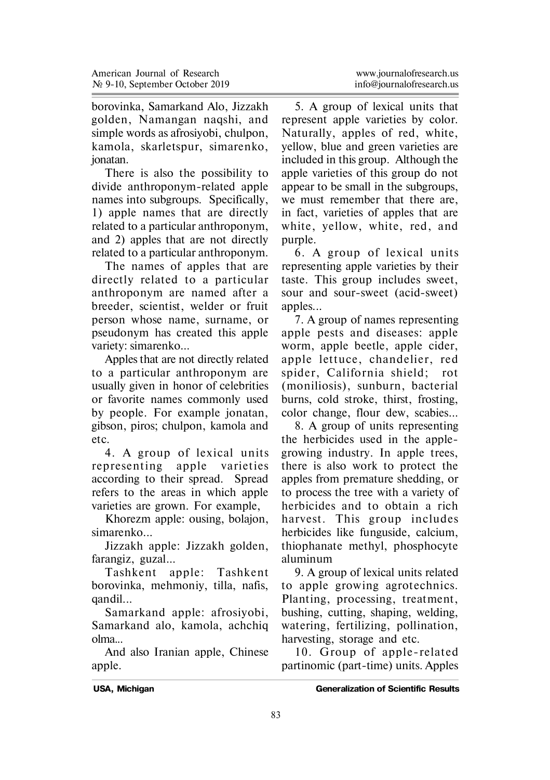borovinka, Samarkand Alo, Jizzakh golden, Namangan naqshi, and simple words as afrosiyobi, chulpon, kamola, skarletspur, simarenko, jonatan.

There is also the possibility to divide anthroponym-related apple names into subgroups. Specifically, 1) apple names that are directly related to a particular anthroponym, and 2) apples that are not directly related to a particular anthroponym.

The names of apples that are directly related to a particular anthroponym are named after a breeder, scientist, welder or fruit person whose name, surname, or pseudonym has created this apple variety: simarenko...

Apples that are not directly related to a particular anthroponym are usually given in honor of celebrities or favorite names commonly used by people. For example jonatan, gibson, piros; chulpon, kamola and etc.

4. A group of lexical units representing apple varieties according to their spread. Spread refers to the areas in which apple varieties are grown. For example,

Khorezm apple: ousing, bolajon, simarenko...

Jizzakh apple: Jizzakh golden, farangiz, guzal...

Tashkent apple: Tashkent borovinka, mehmoniy, tilla, nafis, qandil...

Samarkand apple: afrosiyobi, Samarkand alo, kamola, achchiq olma...

And also Iranian apple, Chinese apple.

5. A group of lexical units that represent apple varieties by color. Naturally, apples of red, white, yellow, blue and green varieties are included in this group. Although the apple varieties of this group do not appear to be small in the subgroups, we must remember that there are, in fact, varieties of apples that are white, yellow, white, red, and purple.

6. A group of lexical units representing apple varieties by their taste. This group includes sweet, sour and sour-sweet (acid-sweet) apples...

7. A group of names representing apple pests and diseases: apple worm, apple beetle, apple cider, apple lettuce, chandelier, red spider, California shield; rot (moniliosis), sunburn, bacterial burns, cold stroke, thirst, frosting, color change, flour dew, scabies...

8. A group of units representing the herbicides used in the applegrowing industry. In apple trees, there is also work to protect the apples from premature shedding, or to process the tree with a variety of herbicides and to obtain a rich harvest. This group includes herbicides like funguside, calcium, thiophanate methyl, phosphocyte aluminum

9. A group of lexical units related to apple growing agrotechnics. Planting, processing, treatment, bushing, cutting, shaping, welding, watering, fertilizing, pollination, harvesting, storage and etc.

10. Group of apple-related partinomic (part-time) units. Apples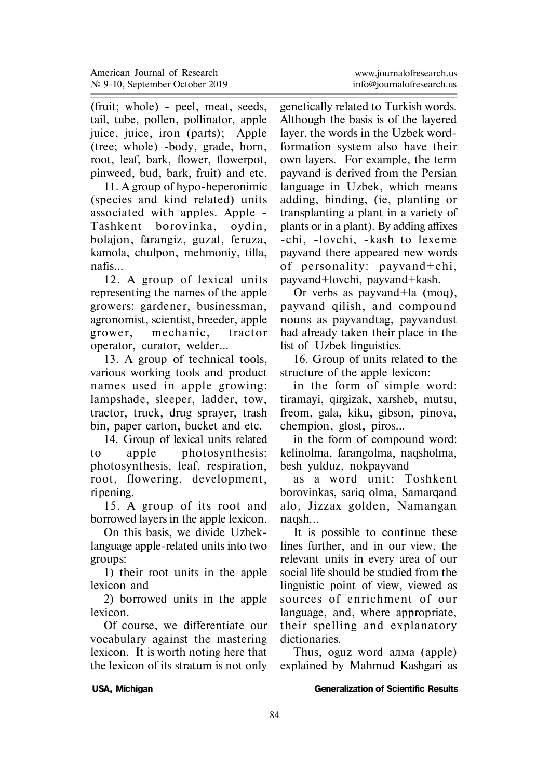(fruit; whole) - peel, meat, seeds, tail, tube, pollen, pollinator, apple juice, juice, iron (parts); Apple (tree; whole) -body, grade, horn, root, leaf, bark, flower, flowerpot, pinweed, bud, bark, fruit) and etc.

11. A group of hypo-heperonimic (species and kind related) units associated with apples. Apple - Tashkent borovinka, ovdin, bolajon, farangiz, guzal, feruza, kamola, chulpon, mehmoniy, tilla, nafis...

12. A group of lexical units representing the names of the apple growers: gardener, businessman, agronomist, scientist, breeder, apple grower, mechanic, tractor operator, curator, welder...

13. A group of technical tools, various working tools and product names used in apple growing: lampshade, sleeper, ladder, tow, tractor, truck, drug sprayer, trash bin, paper carton, bucket and etc.

14. Group of lexical units related to apple photosynthesis: photosynthesis, leaf, respiration, root, flowering, development, ripening.

15. A group of its root and borrowed layers in the apple lexicon.

On this basis, we divide Uzbeklanguage apple-related units into two groups:

1) their root units in the apple lexicon and

2) borrowed units in the apple lexicon.

Of course, we differentiate our vocabulary against the mastering lexicon. It is worth noting here that the lexicon of its stratum is not only

genetically related to Turkish words. Although the basis is of the layered layer, the words in the Uzbek wordformation system also have their own layers. For example, the term payvand is derived from the Persian language in Uzbek, which means adding, binding, (ie, planting or transplanting a plant in a variety of plants or in a plant). By adding affixes -chi, -lovchi, -kash to lexeme payvand there appeared new words of personality: payvand+chi. payvand+lovchi, payvand+kash.

Or verbs as payvand+la (moq), payvand qilish, and compound nouns as payvandtag, payvandust had already taken their place in the list of Uzbek linguistics.

16. Group of units related to the structure of the apple lexicon:

in the form of simple word: tiramayi, qirgizak, xarsheb, mutsu, freom, gala, kiku, gibson, pinova, chempion, glost, piros...

in the form of compound word: kelinolma, farangolma, naqsholma, besh yulduz, nokpayvand

as a word unit: Toshkent borovinkas, sariq olma, Samarqand alo, Jizzax golden, Namangan naqsh...

It is possible to continue these lines further, and in our view, the relevant units in every area of our social life should be studied from the linguistic point of view, viewed as sources of enrichment of our language, and, where appropriate. their spelling and explanatory dictionaries.

Thus, oguz word алма (apple) explained by Mahmud Kashgari as